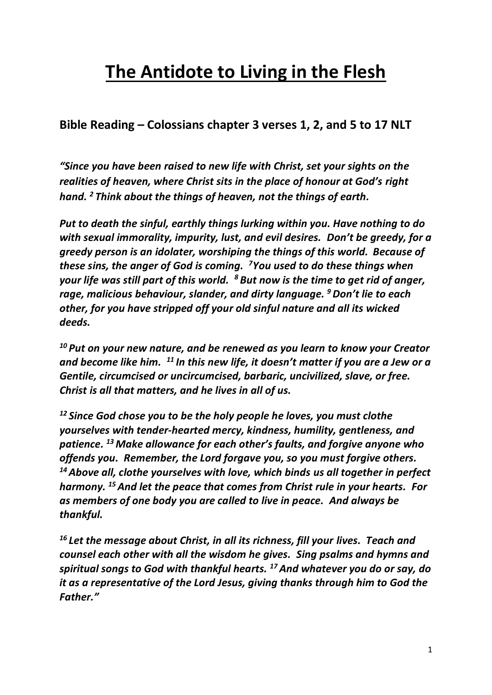## **The Antidote to Living in the Flesh**

**Bible Reading – Colossians chapter 3 verses 1, 2, and 5 to 17 NLT**

*"Since you have been raised to new life with Christ, set your sights on the realities of heaven, where Christ sits in the place of honour at God's right hand. <sup>2</sup> Think about the things of heaven, not the things of earth.*

*Put to death the sinful, earthly things lurking within you. Have nothing to do with sexual immorality, impurity, lust, and evil desires. Don't be greedy, for a greedy person is an idolater, worshiping the things of this world. Because of these sins, the anger of God is coming. <sup>7</sup>You used to do these things when your life was still part of this world. <sup>8</sup> But now is the time to get rid of anger, rage, malicious behaviour, slander, and dirty language. <sup>9</sup>Don't lie to each other, for you have stripped off your old sinful nature and all its wicked deeds.*

*<sup>10</sup> Put on your new nature, and be renewed as you learn to know your Creator and become like him. <sup>11</sup> In this new life, it doesn't matter if you are a Jew or a Gentile, circumcised or uncircumcised, barbaric, uncivilized, slave, or free. Christ is all that matters, and he lives in all of us.*

*<sup>12</sup> Since God chose you to be the holy people he loves, you must clothe yourselves with tender-hearted mercy, kindness, humility, gentleness, and patience. <sup>13</sup> Make allowance for each other's faults, and forgive anyone who offends you. Remember, the Lord forgave you, so you must forgive others. <sup>14</sup>Above all, clothe yourselves with love, which binds us all together in perfect harmony. <sup>15</sup>And let the peace that comes from Christ rule in your hearts. For as members of one body you are called to live in peace. And always be thankful.*

*<sup>16</sup> Let the message about Christ, in all its richness, fill your lives. Teach and counsel each other with all the wisdom he gives. Sing psalms and hymns and spiritual songs to God with thankful hearts. <sup>17</sup> And whatever you do or say, do it as a representative of the Lord Jesus, giving thanks through him to God the Father."*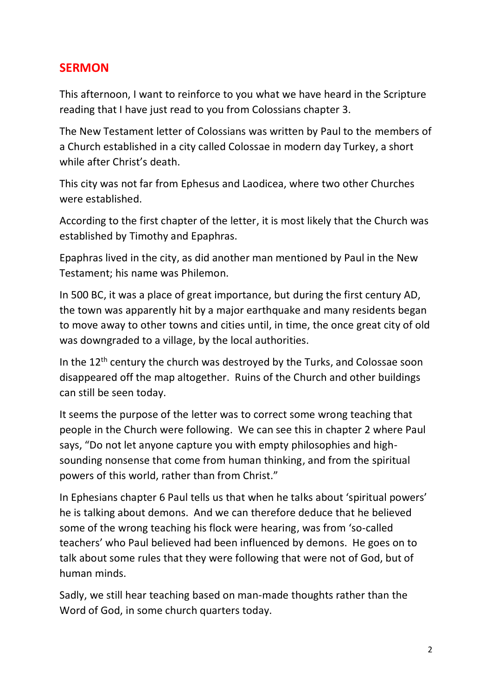## **SERMON**

This afternoon, I want to reinforce to you what we have heard in the Scripture reading that I have just read to you from Colossians chapter 3.

The New Testament letter of Colossians was written by Paul to the members of a Church established in a city called Colossae in modern day Turkey, a short while after Christ's death.

This city was not far from Ephesus and Laodicea, where two other Churches were established.

According to the first chapter of the letter, it is most likely that the Church was established by Timothy and Epaphras.

Epaphras lived in the city, as did another man mentioned by Paul in the New Testament; his name was Philemon.

In 500 BC, it was a place of great importance, but during the first century AD, the town was apparently hit by a major earthquake and many residents began to move away to other towns and cities until, in time, the once great city of old was downgraded to a village, by the local authorities.

In the 12<sup>th</sup> century the church was destroyed by the Turks, and Colossae soon disappeared off the map altogether. Ruins of the Church and other buildings can still be seen today.

It seems the purpose of the letter was to correct some wrong teaching that people in the Church were following. We can see this in chapter 2 where Paul says, "Do not let anyone capture you with empty philosophies and highsounding nonsense that come from human thinking, and from the spiritual powers of this world, rather than from Christ."

In Ephesians chapter 6 Paul tells us that when he talks about 'spiritual powers' he is talking about demons. And we can therefore deduce that he believed some of the wrong teaching his flock were hearing, was from 'so-called teachers' who Paul believed had been influenced by demons. He goes on to talk about some rules that they were following that were not of God, but of human minds.

Sadly, we still hear teaching based on man-made thoughts rather than the Word of God, in some church quarters today.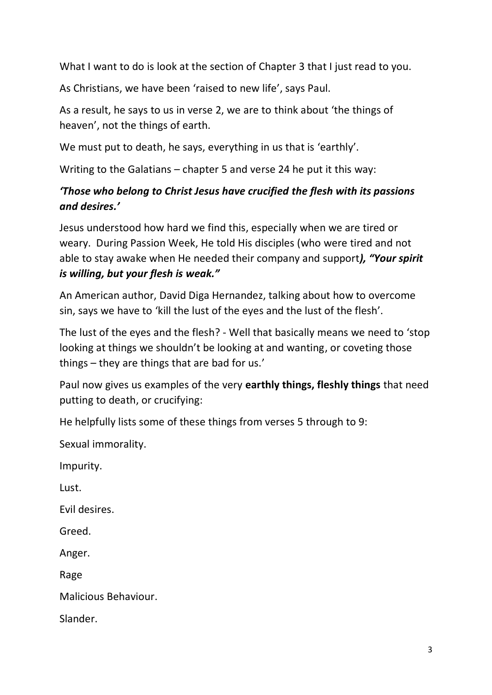What I want to do is look at the section of Chapter 3 that I just read to you.

As Christians, we have been 'raised to new life', says Paul.

As a result, he says to us in verse 2, we are to think about 'the things of heaven', not the things of earth.

We must put to death, he says, everything in us that is 'earthly'.

Writing to the Galatians – chapter 5 and verse 24 he put it this way:

## *'Those who belong to Christ Jesus have crucified the flesh with its passions and desires.'*

Jesus understood how hard we find this, especially when we are tired or weary. During Passion Week, He told His disciples (who were tired and not able to stay awake when He needed their company and support*), "Your spirit is willing, but your flesh is weak."*

An American author, David Diga Hernandez, talking about how to overcome sin, says we have to 'kill the lust of the eyes and the lust of the flesh'.

The lust of the eyes and the flesh? - Well that basically means we need to 'stop looking at things we shouldn't be looking at and wanting, or coveting those things – they are things that are bad for us.'

Paul now gives us examples of the very **earthly things, fleshly things** that need putting to death, or crucifying:

He helpfully lists some of these things from verses 5 through to 9:

Sexual immorality.

Impurity.

Lust.

Evil desires.

Greed.

Anger.

Rage

Malicious Behaviour.

Slander.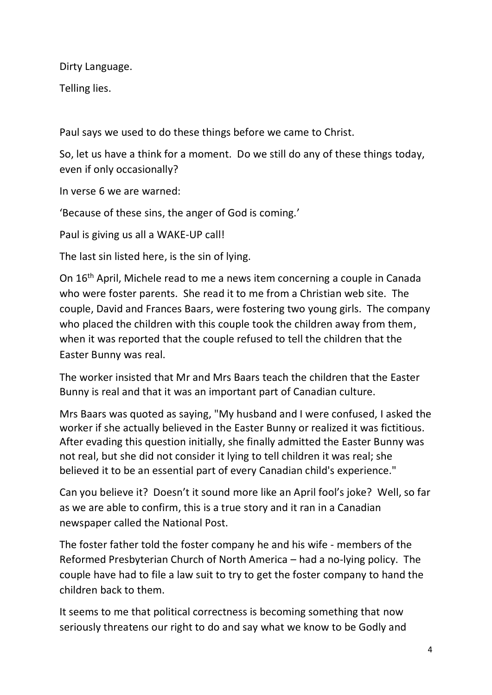Dirty Language.

Telling lies.

Paul says we used to do these things before we came to Christ.

So, let us have a think for a moment. Do we still do any of these things today, even if only occasionally?

In verse 6 we are warned:

'Because of these sins, the anger of God is coming.'

Paul is giving us all a WAKE-UP call!

The last sin listed here, is the sin of lying.

On 16th April, Michele read to me a news item concerning a couple in Canada who were foster parents. She read it to me from a Christian web site. The couple, David and Frances Baars, were fostering two young girls. The company who placed the children with this couple took the children away from them, when it was reported that the couple refused to tell the children that the Easter Bunny was real.

The worker insisted that Mr and Mrs Baars teach the children that the Easter Bunny is real and that it was an important part of Canadian culture.

Mrs Baars was quoted as saying, "My husband and I were confused, I asked the worker if she actually believed in the Easter Bunny or realized it was fictitious. After evading this question initially, she finally admitted the Easter Bunny was not real, but she did not consider it lying to tell children it was real; she believed it to be an essential part of every Canadian child's experience."

Can you believe it? Doesn't it sound more like an April fool's joke? Well, so far as we are able to confirm, this is a true story and it ran in a Canadian newspaper called the National Post.

The foster father told the foster company he and his wife - members of the Reformed Presbyterian Church of North America – had a no-lying policy. The couple have had to file a law suit to try to get the foster company to hand the children back to them.

It seems to me that political correctness is becoming something that now seriously threatens our right to do and say what we know to be Godly and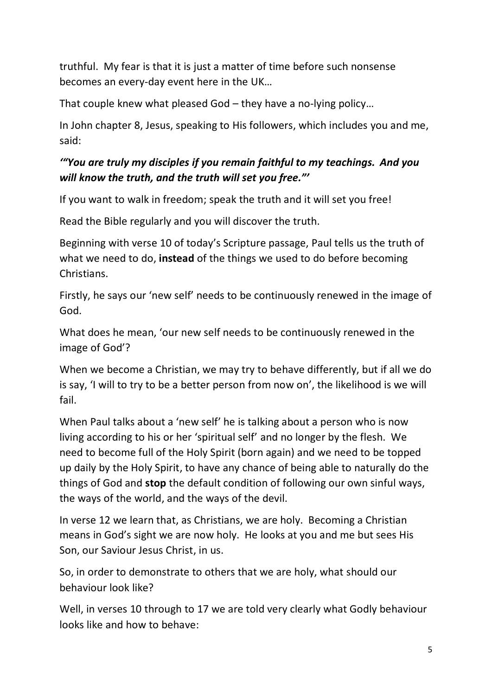truthful. My fear is that it is just a matter of time before such nonsense becomes an every-day event here in the UK…

That couple knew what pleased God – they have a no-lying policy…

In John chapter 8, Jesus, speaking to His followers, which includes you and me, said:

## *'"You are truly my disciples if you remain faithful to my teachings. And you will know the truth, and the truth will set you free."'*

If you want to walk in freedom; speak the truth and it will set you free!

Read the Bible regularly and you will discover the truth.

Beginning with verse 10 of today's Scripture passage, Paul tells us the truth of what we need to do, **instead** of the things we used to do before becoming Christians.

Firstly, he says our 'new self' needs to be continuously renewed in the image of God.

What does he mean, 'our new self needs to be continuously renewed in the image of God'?

When we become a Christian, we may try to behave differently, but if all we do is say, 'I will to try to be a better person from now on', the likelihood is we will fail.

When Paul talks about a 'new self' he is talking about a person who is now living according to his or her 'spiritual self' and no longer by the flesh. We need to become full of the Holy Spirit (born again) and we need to be topped up daily by the Holy Spirit, to have any chance of being able to naturally do the things of God and **stop** the default condition of following our own sinful ways, the ways of the world, and the ways of the devil.

In verse 12 we learn that, as Christians, we are holy. Becoming a Christian means in God's sight we are now holy. He looks at you and me but sees His Son, our Saviour Jesus Christ, in us.

So, in order to demonstrate to others that we are holy, what should our behaviour look like?

Well, in verses 10 through to 17 we are told very clearly what Godly behaviour looks like and how to behave: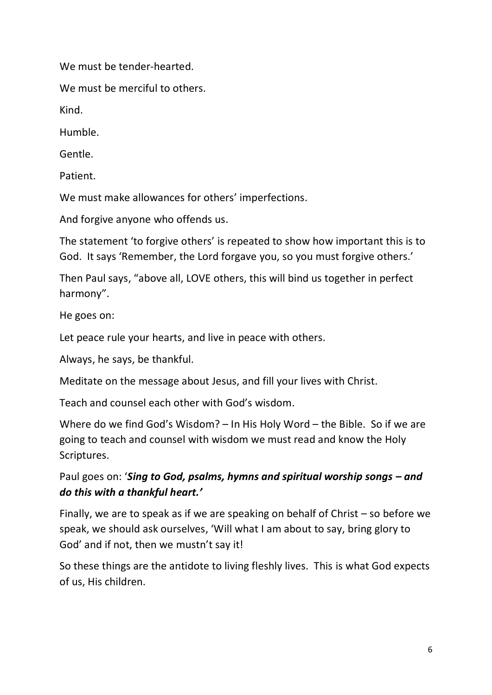We must be tender-hearted.

We must be merciful to others.

Kind.

Humble.

Gentle.

Patient.

We must make allowances for others' imperfections.

And forgive anyone who offends us.

The statement 'to forgive others' is repeated to show how important this is to God. It says 'Remember, the Lord forgave you, so you must forgive others.'

Then Paul says, "above all, LOVE others, this will bind us together in perfect harmony".

He goes on:

Let peace rule your hearts, and live in peace with others.

Always, he says, be thankful.

Meditate on the message about Jesus, and fill your lives with Christ.

Teach and counsel each other with God's wisdom.

Where do we find God's Wisdom? – In His Holy Word – the Bible. So if we are going to teach and counsel with wisdom we must read and know the Holy Scriptures.

Paul goes on: '*Sing to God, psalms, hymns and spiritual worship songs – and do this with a thankful heart.'*

Finally, we are to speak as if we are speaking on behalf of Christ – so before we speak, we should ask ourselves, 'Will what I am about to say, bring glory to God' and if not, then we mustn't say it!

So these things are the antidote to living fleshly lives. This is what God expects of us, His children.